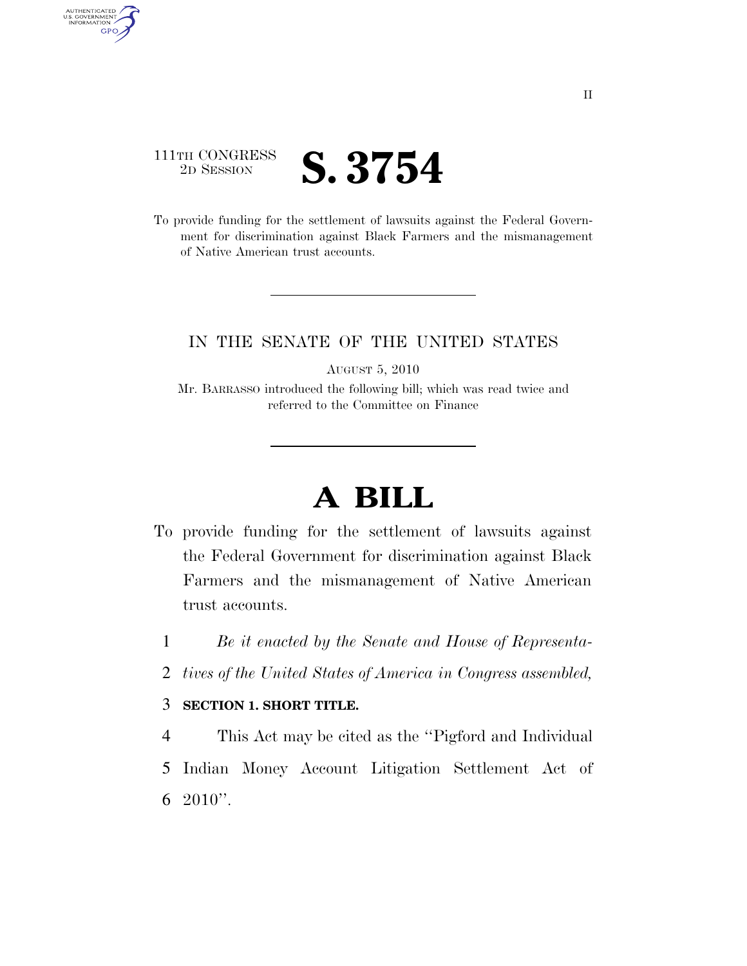## 111TH CONGRESS <sup>2D SESSION</sup> **S. 3754**

AUTHENTICATED<br>U.S. GOVERNMENT<br>INFORMATION GPO

> To provide funding for the settlement of lawsuits against the Federal Government for discrimination against Black Farmers and the mismanagement of Native American trust accounts.

### IN THE SENATE OF THE UNITED STATES

AUGUST 5, 2010

Mr. BARRASSO introduced the following bill; which was read twice and referred to the Committee on Finance

# **A BILL**

- To provide funding for the settlement of lawsuits against the Federal Government for discrimination against Black Farmers and the mismanagement of Native American trust accounts.
	- 1 *Be it enacted by the Senate and House of Representa-*
	- 2 *tives of the United States of America in Congress assembled,*

#### 3 **SECTION 1. SHORT TITLE.**

4 This Act may be cited as the ''Pigford and Individual 5 Indian Money Account Litigation Settlement Act of 6 2010''.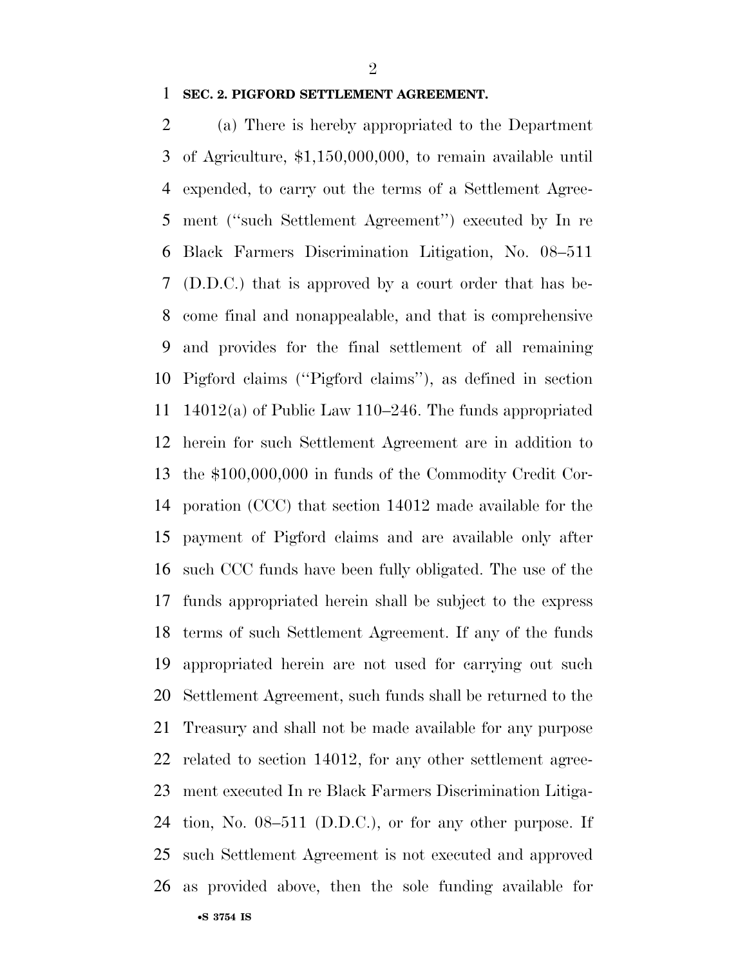$\mathfrak{D}$ 

#### **SEC. 2. PIGFORD SETTLEMENT AGREEMENT.**

•**S 3754 IS** (a) There is hereby appropriated to the Department of Agriculture, \$1,150,000,000, to remain available until expended, to carry out the terms of a Settlement Agree- ment (''such Settlement Agreement'') executed by In re Black Farmers Discrimination Litigation, No. 08–511 (D.D.C.) that is approved by a court order that has be- come final and nonappealable, and that is comprehensive and provides for the final settlement of all remaining Pigford claims (''Pigford claims''), as defined in section 14012(a) of Public Law 110–246. The funds appropriated herein for such Settlement Agreement are in addition to the \$100,000,000 in funds of the Commodity Credit Cor- poration (CCC) that section 14012 made available for the payment of Pigford claims and are available only after such CCC funds have been fully obligated. The use of the funds appropriated herein shall be subject to the express terms of such Settlement Agreement. If any of the funds appropriated herein are not used for carrying out such Settlement Agreement, such funds shall be returned to the Treasury and shall not be made available for any purpose related to section 14012, for any other settlement agree- ment executed In re Black Farmers Discrimination Litiga- tion, No. 08–511 (D.D.C.), or for any other purpose. If such Settlement Agreement is not executed and approved as provided above, then the sole funding available for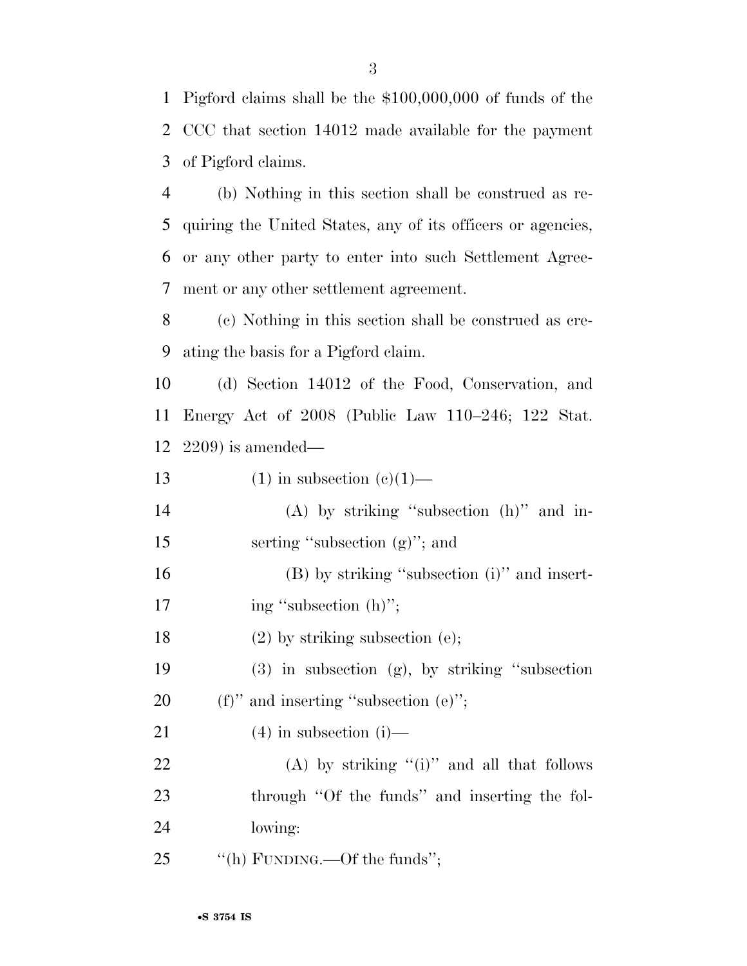1 Pigford claims shall be the \$100,000,000 of funds of the 2 CCC that section 14012 made available for the payment 3 of Pigford claims.

 (b) Nothing in this section shall be construed as re- quiring the United States, any of its officers or agencies, or any other party to enter into such Settlement Agree-ment or any other settlement agreement.

8 (c) Nothing in this section shall be construed as cre-9 ating the basis for a Pigford claim.

10 (d) Section 14012 of the Food, Conservation, and 11 Energy Act of 2008 (Public Law 110–246; 122 Stat. 12 2209) is amended—

13 (1) in subsection  $(e)(1)$ —

14 (A) by striking ''subsection (h)'' and in-15 serting "subsection (g)"; and

16 (B) by striking "subsection (i)" and insert-17 ing "subsection (h)";

18 (2) by striking subsection (e);

19 (3) in subsection (g), by striking ''subsection 20  $(f)$  '' and inserting "subsection  $(e)$ ";

21 (4) in subsection (i)—

22 (A) by striking  $(1)$ " and all that follows 23 through "Of the funds" and inserting the fol-24 lowing:

25  $\text{``(h) FUNDING.}$  -Of the funds";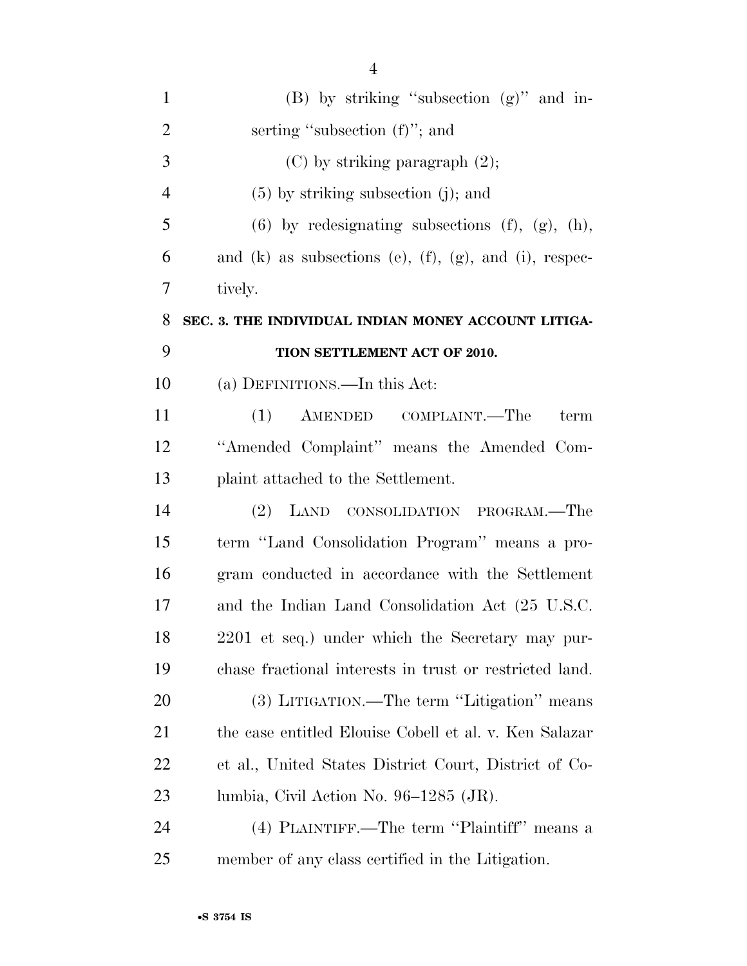| $\mathbf{1}$   | $(B)$ by striking "subsection $(g)$ " and in-                        |
|----------------|----------------------------------------------------------------------|
| $\overline{2}$ | serting "subsection (f)"; and                                        |
| 3              | $(C)$ by striking paragraph $(2)$ ;                                  |
| $\overline{4}$ | $(5)$ by striking subsection (j); and                                |
| 5              | $(6)$ by redesignating subsections $(f)$ , $(g)$ , $(h)$ ,           |
| 6              | and $(k)$ as subsections $(e)$ , $(f)$ , $(g)$ , and $(i)$ , respec- |
| 7              | tively.                                                              |
| 8              | SEC. 3. THE INDIVIDUAL INDIAN MONEY ACCOUNT LITIGA-                  |
| 9              | TION SETTLEMENT ACT OF 2010.                                         |
| 10             | (a) DEFINITIONS.—In this Act:                                        |
| 11             | (1) AMENDED COMPLAINT.—The<br>term                                   |
| 12             | "Amended Complaint" means the Amended Com-                           |
| 13             | plaint attached to the Settlement.                                   |
| 14             | (2)<br>LAND CONSOLIDATION PROGRAM.—The                               |
| 15             | term "Land Consolidation Program" means a pro-                       |
| 16             | gram conducted in accordance with the Settlement                     |
| 17             | and the Indian Land Consolidation Act (25 U.S.C.                     |
| 18             | 2201 et seq.) under which the Secretary may pur-                     |
| 19             | chase fractional interests in trust or restricted land.              |
| 20             | (3) LITIGATION.—The term "Litigation" means                          |
| 21             | the case entitled Elouise Cobell et al. v. Ken Salazar               |
| 22             | et al., United States District Court, District of Co-                |
| 23             | lumbia, Civil Action No. 96–1285 (JR).                               |
| 24             | (4) PLAINTIFF.—The term "Plaintiff" means a                          |
| 25             | member of any class certified in the Litigation.                     |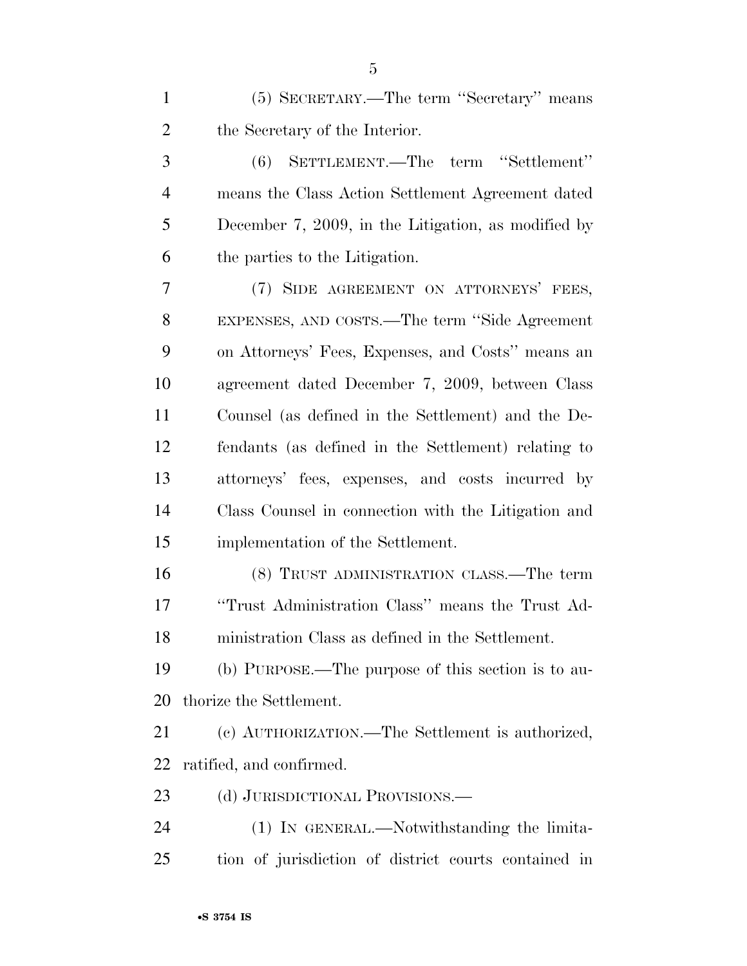| $\mathbf{1}$   | (5) SECRETARY.—The term "Secretary" means           |
|----------------|-----------------------------------------------------|
| $\overline{2}$ | the Secretary of the Interior.                      |
| 3              | SETTLEMENT.—The term "Settlement"<br>(6)            |
| $\overline{4}$ | means the Class Action Settlement Agreement dated   |
| 5              | December 7, 2009, in the Litigation, as modified by |
| 6              | the parties to the Litigation.                      |
| 7              | (7) SIDE AGREEMENT ON ATTORNEYS' FEES,              |
| 8              | EXPENSES, AND COSTS.—The term "Side Agreement"      |
| 9              | on Attorneys' Fees, Expenses, and Costs" means an   |
| 10             | agreement dated December 7, 2009, between Class     |
| 11             | Counsel (as defined in the Settlement) and the De-  |
| 12             | fendants (as defined in the Settlement) relating to |
| 13             | attorneys' fees, expenses, and costs incurred by    |
| 14             | Class Counsel in connection with the Litigation and |
| 15             | implementation of the Settlement.                   |
| 16             | (8) TRUST ADMINISTRATION CLASS.—The term            |
| 17             | "Trust Administration Class" means the Trust Ad-    |
| 18             | ministration Class as defined in the Settlement.    |
| 19             | (b) PURPOSE.—The purpose of this section is to au-  |
| 20             | thorize the Settlement.                             |
| 21             | (c) AUTHORIZATION.—The Settlement is authorized,    |
| 22             | ratified, and confirmed.                            |
| 23             | (d) JURISDICTIONAL PROVISIONS.—                     |

 (1) IN GENERAL.—Notwithstanding the limita-tion of jurisdiction of district courts contained in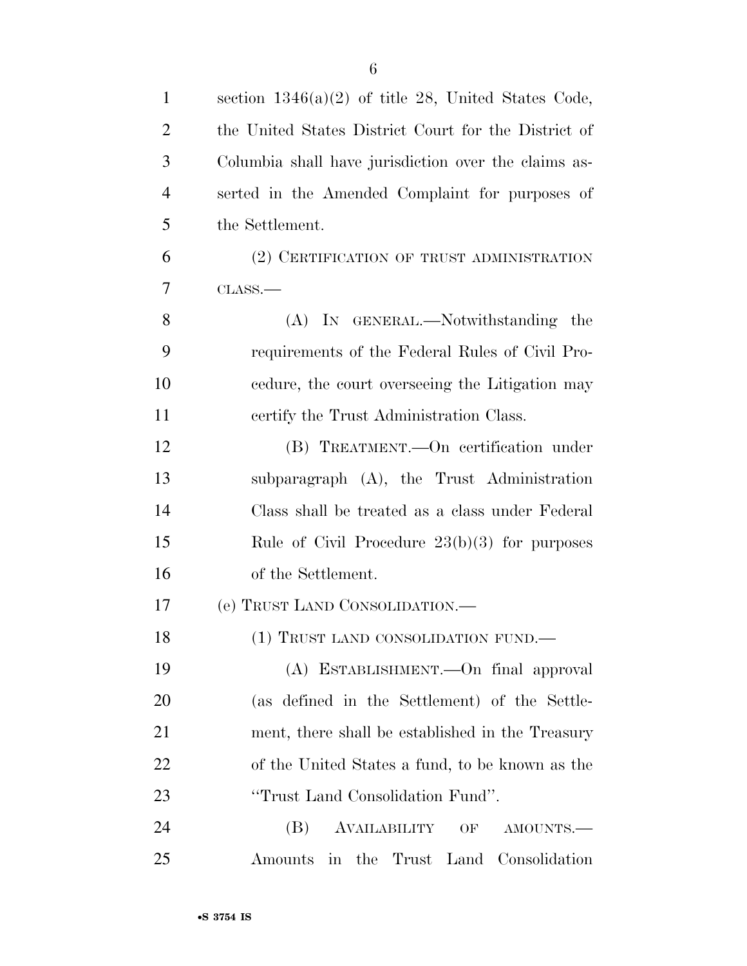| $\mathbf{1}$   | section $1346(a)(2)$ of title 28, United States Code, |
|----------------|-------------------------------------------------------|
| 2              | the United States District Court for the District of  |
| 3              | Columbia shall have jurisdiction over the claims as-  |
| $\overline{4}$ | serted in the Amended Complaint for purposes of       |
| 5              | the Settlement.                                       |
| 6              | (2) CERTIFICATION OF TRUST ADMINISTRATION             |
| 7              | $\text{CLASS}$ .                                      |
| 8              | (A) IN GENERAL.—Notwithstanding the                   |
| 9              | requirements of the Federal Rules of Civil Pro-       |
| 10             | edure, the court overseeing the Litigation may        |
| 11             | certify the Trust Administration Class.               |
| 12             | (B) TREATMENT.—On certification under                 |
| 13             | subparagraph (A), the Trust Administration            |
| 14             | Class shall be treated as a class under Federal       |
| 15             | Rule of Civil Procedure $23(b)(3)$ for purposes       |
| 16             | of the Settlement.                                    |
| 17             | (e) TRUST LAND CONSOLIDATION.—                        |
| 18             | (1) TRUST LAND CONSOLIDATION FUND.                    |
| 19             | (A) ESTABLISHMENT. - On final approval                |
| 20             | (as defined in the Settlement) of the Settle-         |
| 21             | ment, there shall be established in the Treasury      |
| 22             | of the United States a fund, to be known as the       |
| 23             | "Trust Land Consolidation Fund".                      |
| 24             | AVAILABILITY<br>(B)<br>OF<br>AMOUNTS.-                |
| 25             | Amounts in the Trust Land Consolidation               |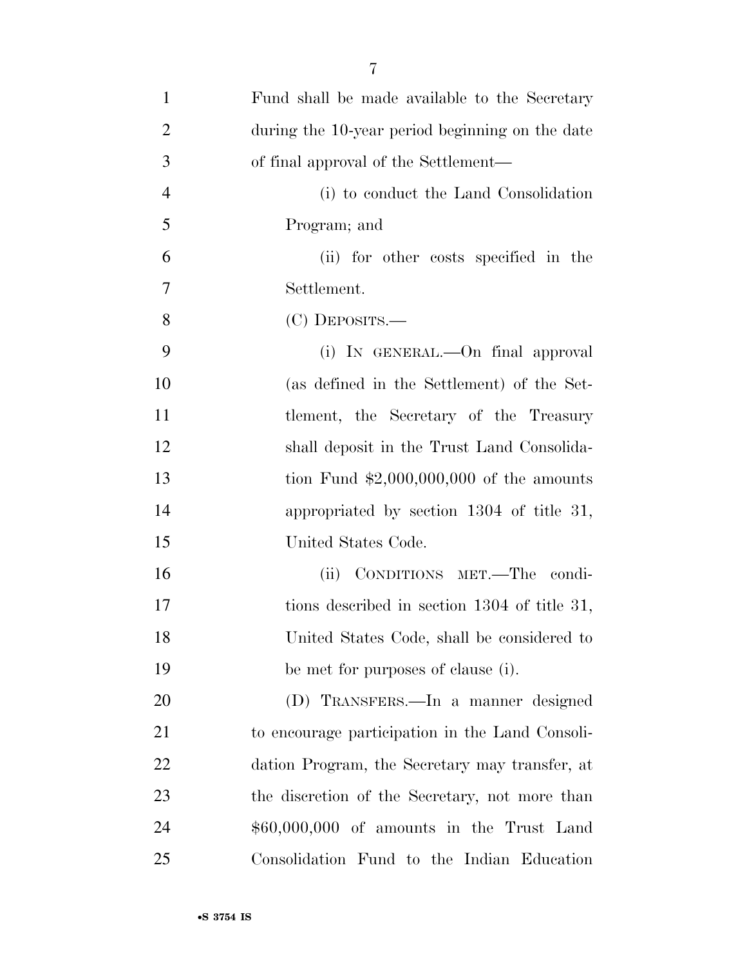| $\mathbf{1}$   | Fund shall be made available to the Secretary   |
|----------------|-------------------------------------------------|
| $\overline{2}$ | during the 10-year period beginning on the date |
| 3              | of final approval of the Settlement—            |
| $\overline{4}$ | (i) to conduct the Land Consolidation           |
| 5              | Program; and                                    |
| 6              | (ii) for other costs specified in the           |
| 7              | Settlement.                                     |
| 8              | $(C)$ DEPOSITS.—                                |
| 9              | (i) IN GENERAL.—On final approval               |
| 10             | (as defined in the Settlement) of the Set-      |
| 11             | tlement, the Secretary of the Treasury          |
| 12             | shall deposit in the Trust Land Consolida-      |
| 13             | tion Fund $$2,000,000,000$ of the amounts       |
| 14             | appropriated by section 1304 of title 31,       |
| 15             | United States Code.                             |
| 16             | (ii) CONDITIONS MET.—The condi-                 |
| 17             | tions described in section 1304 of title 31,    |
| 18             | United States Code, shall be considered to      |
| 19             | be met for purposes of clause (i).              |
| 20             | (D) TRANSFERS.—In a manner designed             |
| 21             | to encourage participation in the Land Consoli- |
| 22             | dation Program, the Secretary may transfer, at  |
| 23             | the discretion of the Secretary, not more than  |
| 24             | $$60,000,000$ of amounts in the Trust Land      |
| 25             | Consolidation Fund to the Indian Education      |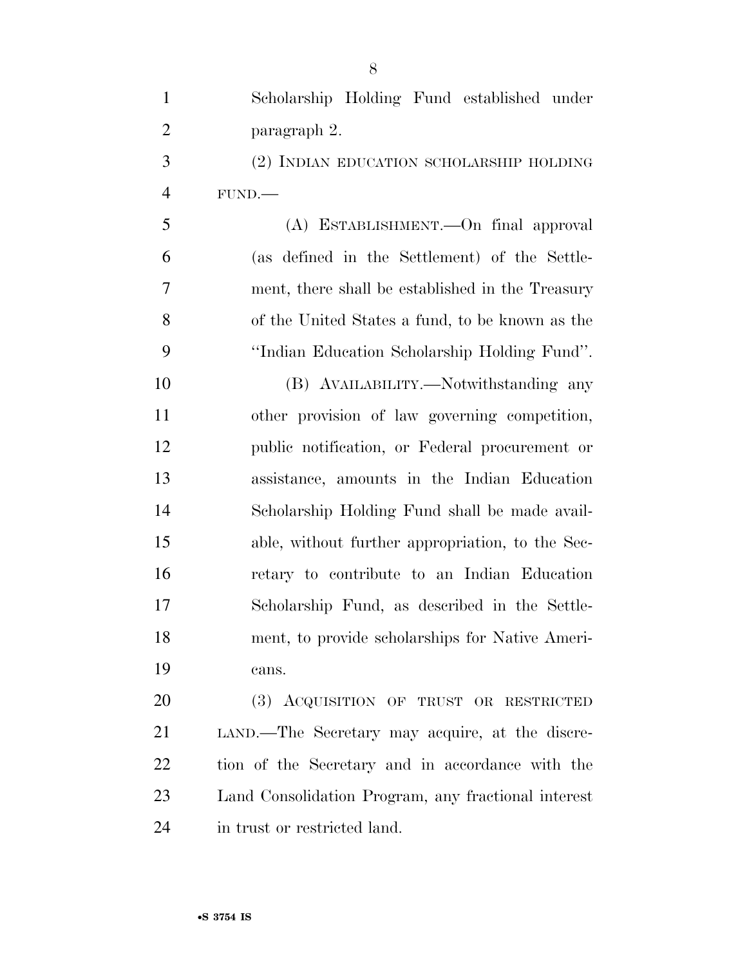Scholarship Holding Fund established under paragraph 2. (2) INDIAN EDUCATION SCHOLARSHIP HOLDING FUND.— (A) ESTABLISHMENT.—On final approval (as defined in the Settlement) of the Settle- ment, there shall be established in the Treasury of the United States a fund, to be known as the ''Indian Education Scholarship Holding Fund''. (B) AVAILABILITY.—Notwithstanding any other provision of law governing competition, public notification, or Federal procurement or assistance, amounts in the Indian Education Scholarship Holding Fund shall be made avail- able, without further appropriation, to the Sec- retary to contribute to an Indian Education Scholarship Fund, as described in the Settle- ment, to provide scholarships for Native Ameri- cans. (3) ACQUISITION OF TRUST OR RESTRICTED LAND.—The Secretary may acquire, at the discre-tion of the Secretary and in accordance with the

 Land Consolidation Program, any fractional interest in trust or restricted land.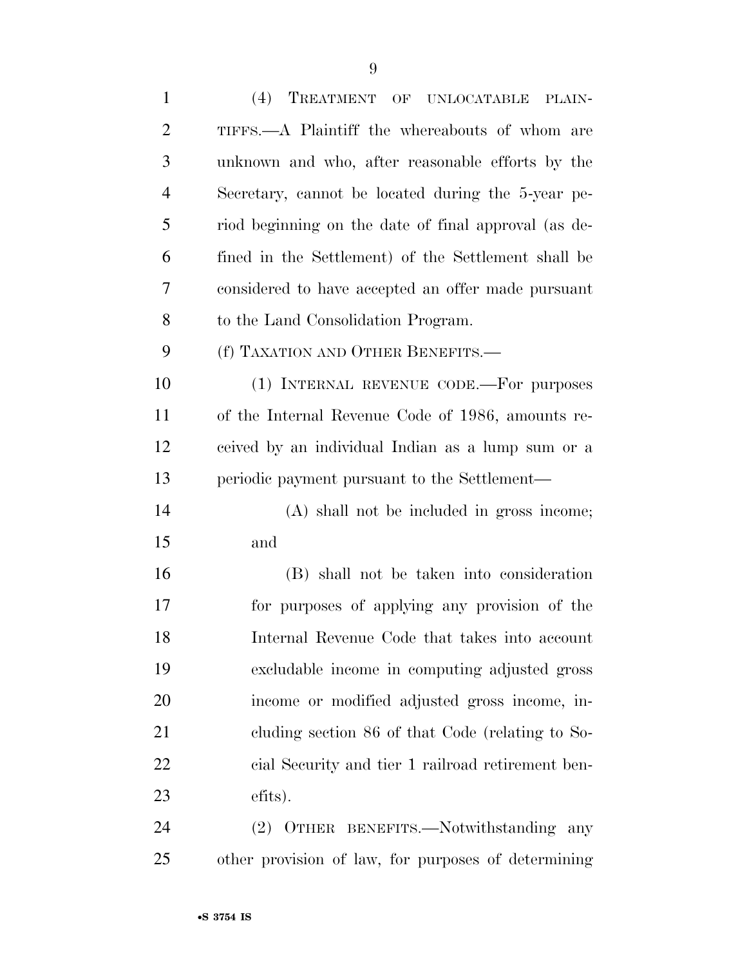| $\mathbf{1}$   | (4) TREATMENT OF UNLOCATABLE<br>PLAIN-               |
|----------------|------------------------------------------------------|
| $\overline{2}$ | TIFFS.—A Plaintiff the whereabouts of whom are       |
| 3              | unknown and who, after reasonable efforts by the     |
| $\overline{4}$ | Secretary, cannot be located during the 5-year pe-   |
| 5              | riod beginning on the date of final approval (as de- |
| 6              | fined in the Settlement) of the Settlement shall be  |
| 7              | considered to have accepted an offer made pursuant   |
| 8              | to the Land Consolidation Program.                   |
| 9              | (f) TAXATION AND OTHER BENEFITS.-                    |
| 10             | (1) INTERNAL REVENUE CODE.—For purposes              |
| 11             | of the Internal Revenue Code of 1986, amounts re-    |
| 12             | ceived by an individual Indian as a lump sum or a    |
| 13             | periodic payment pursuant to the Settlement—         |
| 14             | (A) shall not be included in gross income;           |
| 15             | and                                                  |
| 16             | (B) shall not be taken into consideration            |
| 17             | for purposes of applying any provision of the        |
| 18             | Internal Revenue Code that takes into account        |
| 19             | excludable income in computing adjusted gross        |
| 20             | income or modified adjusted gross income, in-        |
| 21             | cluding section 86 of that Code (relating to So-     |
| 22             | cial Security and tier 1 railroad retirement ben-    |
| 23             | efits).                                              |
| 24             | (2) OTHER BENEFITS.—Notwithstanding<br>any           |
| 25             | other provision of law, for purposes of determining  |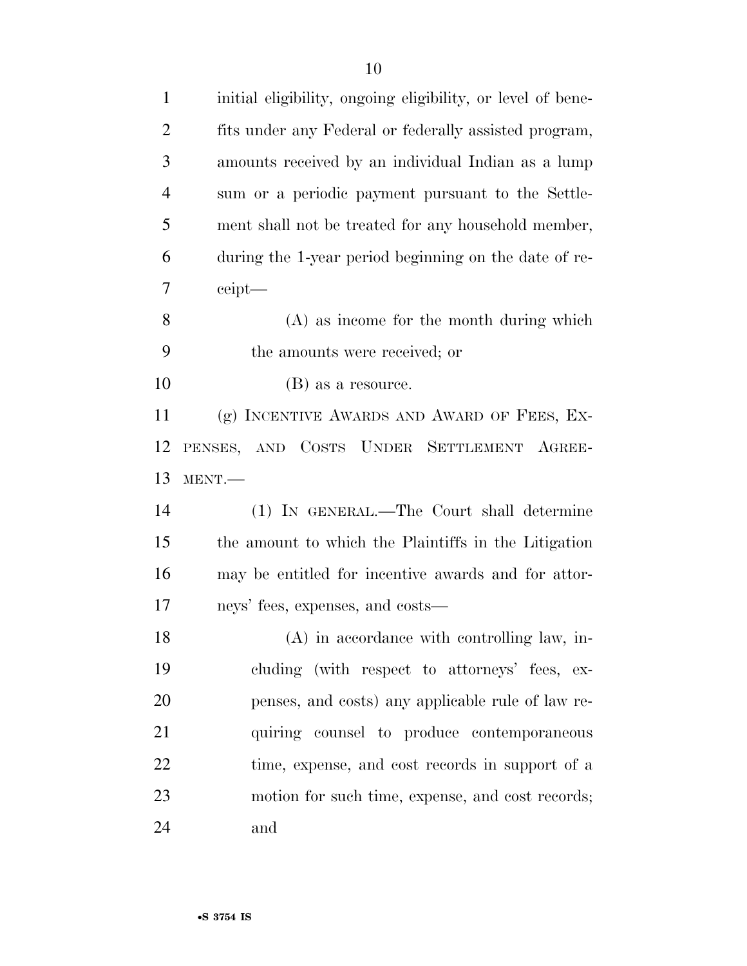| $\mathbf{1}$   | initial eligibility, ongoing eligibility, or level of bene- |
|----------------|-------------------------------------------------------------|
| $\overline{2}$ | fits under any Federal or federally assisted program,       |
| 3              | amounts received by an individual Indian as a lump          |
| $\overline{4}$ | sum or a periodic payment pursuant to the Settle-           |
| 5              | ment shall not be treated for any household member,         |
| 6              | during the 1-year period beginning on the date of re-       |
| 7              | ceipt                                                       |
| 8              | $(A)$ as income for the month during which                  |
| 9              | the amounts were received; or                               |
| 10             | (B) as a resource.                                          |
| 11             | (g) INCENTIVE AWARDS AND AWARD OF FEES, EX-                 |
| 12             | PENSES, AND COSTS UNDER SETTLEMENT AGREE-                   |
| 13             | MENT.                                                       |
|                | (1) IN GENERAL.—The Court shall determine                   |
| 14             |                                                             |
| 15             | the amount to which the Plaintiffs in the Litigation        |
| 16             | may be entitled for incentive awards and for attor-         |
| 17             | neys' fees, expenses, and costs—                            |
| 18             | (A) in accordance with controlling law, in-                 |
| 19             | cluding (with respect to attorneys' fees, ex-               |
| 20             | penses, and costs) any applicable rule of law re-           |
| 21             | quiring counsel to produce contemporaneous                  |
| 22             | time, expense, and cost records in support of a             |
| 23             | motion for such time, expense, and cost records;            |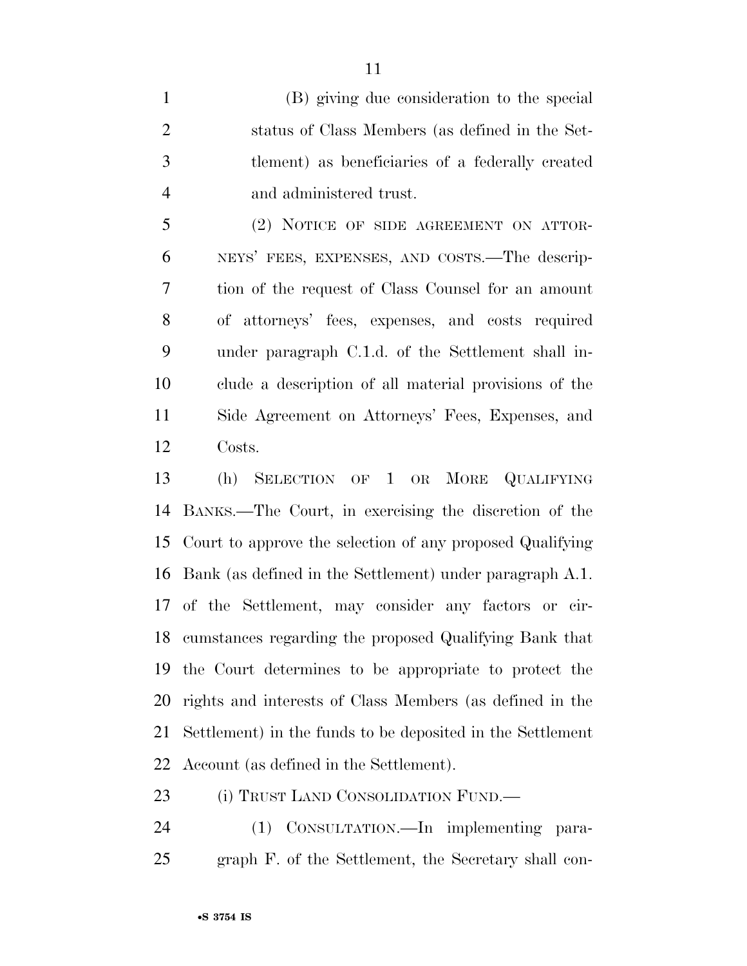(B) giving due consideration to the special status of Class Members (as defined in the Set- tlement) as beneficiaries of a federally created and administered trust.

 (2) NOTICE OF SIDE AGREEMENT ON ATTOR- NEYS' FEES, EXPENSES, AND COSTS.—The descrip- tion of the request of Class Counsel for an amount of attorneys' fees, expenses, and costs required under paragraph C.1.d. of the Settlement shall in- clude a description of all material provisions of the Side Agreement on Attorneys' Fees, Expenses, and Costs.

 (h) SELECTION OF 1 OR MORE QUALIFYING BANKS.—The Court, in exercising the discretion of the Court to approve the selection of any proposed Qualifying Bank (as defined in the Settlement) under paragraph A.1. of the Settlement, may consider any factors or cir- cumstances regarding the proposed Qualifying Bank that the Court determines to be appropriate to protect the rights and interests of Class Members (as defined in the Settlement) in the funds to be deposited in the Settlement Account (as defined in the Settlement).

23 (i) TRUST LAND CONSOLIDATION FUND.—

 (1) CONSULTATION.—In implementing para-graph F. of the Settlement, the Secretary shall con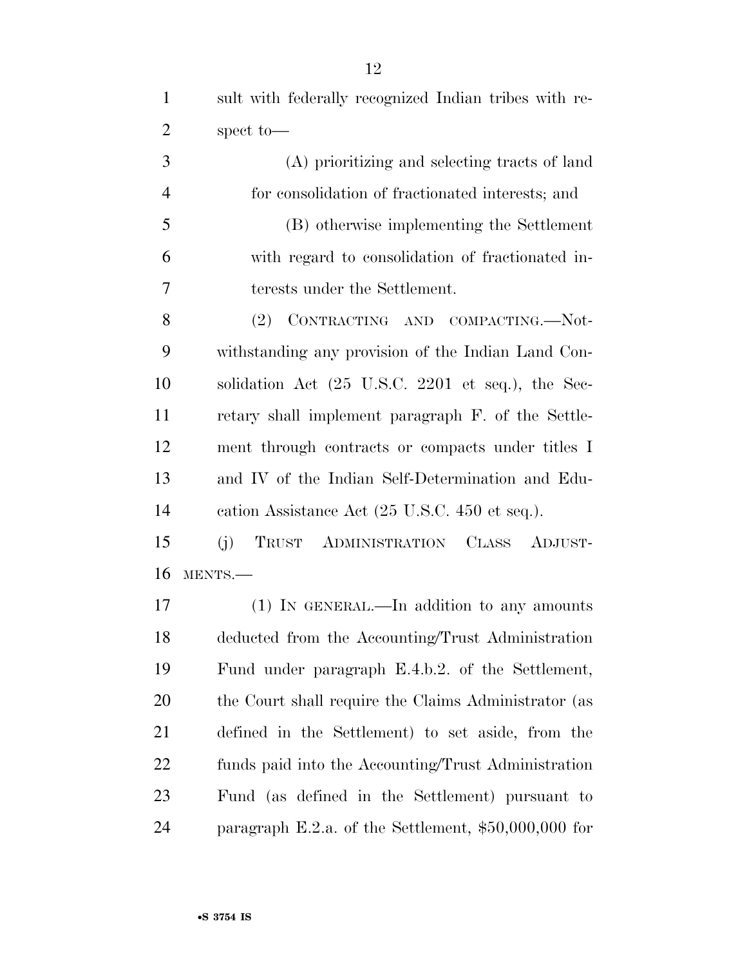sult with federally recognized Indian tribes with re-spect to—

 (A) prioritizing and selecting tracts of land for consolidation of fractionated interests; and (B) otherwise implementing the Settlement with regard to consolidation of fractionated in-terests under the Settlement.

8 (2) CONTRACTING AND COMPACTING.—Not- withstanding any provision of the Indian Land Con- solidation Act (25 U.S.C. 2201 et seq.), the Sec- retary shall implement paragraph F. of the Settle- ment through contracts or compacts under titles I and IV of the Indian Self-Determination and Edu-cation Assistance Act (25 U.S.C. 450 et seq.).

 (j) TRUST ADMINISTRATION CLASS ADJUST-MENTS.—

17 (1) IN GENERAL.—In addition to any amounts deducted from the Accounting/Trust Administration Fund under paragraph E.4.b.2. of the Settlement, 20 the Court shall require the Claims Administrator (as defined in the Settlement) to set aside, from the funds paid into the Accounting/Trust Administration Fund (as defined in the Settlement) pursuant to paragraph E.2.a. of the Settlement, \$50,000,000 for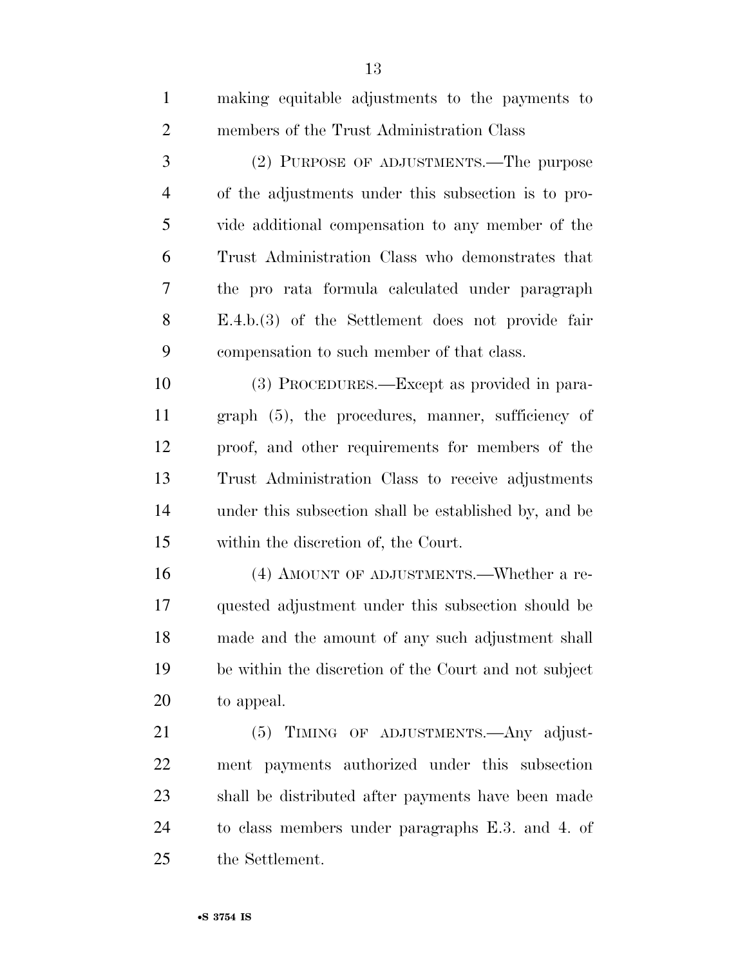| $\mathbf{1}$   | making equitable adjustments to the payments to       |
|----------------|-------------------------------------------------------|
| $\overline{2}$ | members of the Trust Administration Class             |
| 3              | (2) PURPOSE OF ADJUSTMENTS.—The purpose               |
| $\overline{4}$ | of the adjustments under this subsection is to pro-   |
| 5              | vide additional compensation to any member of the     |
| 6              | Trust Administration Class who demonstrates that      |
| 7              | the pro rata formula calculated under paragraph       |
| 8              | $E.4.b.(3)$ of the Settlement does not provide fair   |
| 9              | compensation to such member of that class.            |
| 10             | (3) PROCEDURES.—Except as provided in para-           |
| 11             | graph (5), the procedures, manner, sufficiency of     |
| 12             | proof, and other requirements for members of the      |
| 13             | Trust Administration Class to receive adjustments     |
| 14             | under this subsection shall be established by, and be |
| 15             | within the discretion of, the Court.                  |
| 16             | (4) AMOUNT OF ADJUSTMENTS.—Whether a re-              |
| 17             | quested adjustment under this subsection should be    |
| 18             | made and the amount of any such adjustment shall      |
| 19             | be within the discretion of the Court and not subject |
| 20             | to appeal.                                            |
| 21             | (5) TIMING OF ADJUSTMENTS.—Any adjust-                |
| 22             | ment payments authorized under this subsection        |
| 23             | shall be distributed after payments have been made    |
| 24             | to class members under paragraphs E.3. and 4. of      |
| 25             | the Settlement.                                       |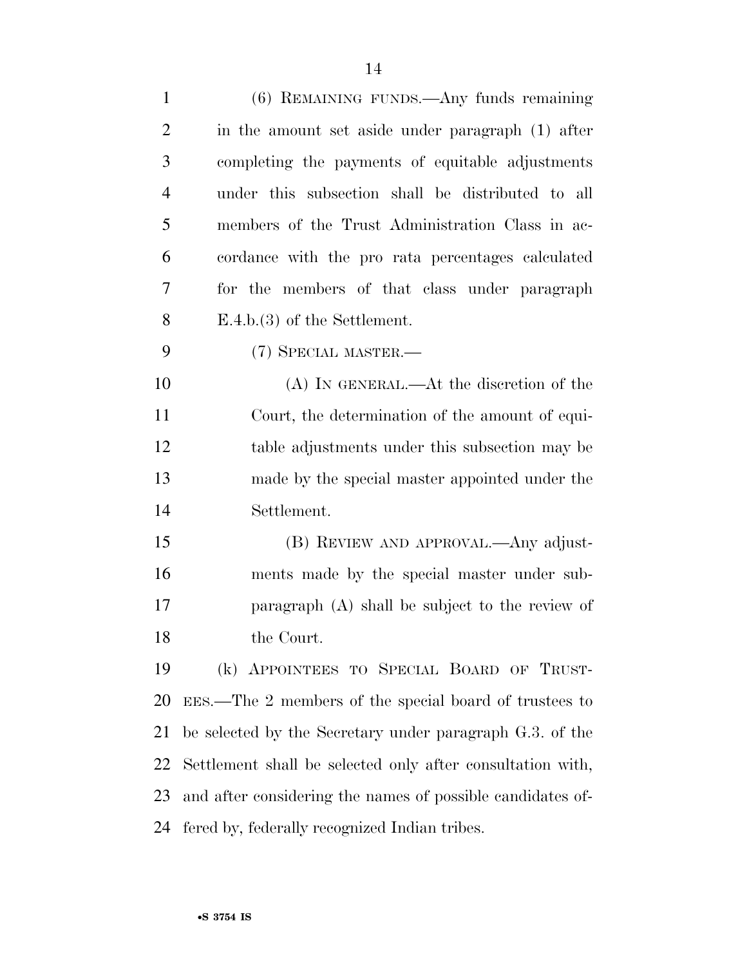| $\mathbf{1}$   | (6) REMAINING FUNDS.—Any funds remaining                   |
|----------------|------------------------------------------------------------|
| $\overline{2}$ | in the amount set aside under paragraph (1) after          |
| 3              | completing the payments of equitable adjustments           |
| 4              | under this subsection shall be distributed to all          |
| 5              | members of the Trust Administration Class in ac-           |
| 6              | cordance with the pro rata percentages calculated          |
| 7              | for the members of that class under paragraph              |
| 8              | $E.4.b.(3)$ of the Settlement.                             |
| 9              | (7) SPECIAL MASTER.—                                       |
| 10             | (A) IN GENERAL.—At the discretion of the                   |
| 11             | Court, the determination of the amount of equi-            |
| 12             | table adjustments under this subsection may be             |
| 13             | made by the special master appointed under the             |
| 14             | Settlement.                                                |
| 15             | (B) REVIEW AND APPROVAL.—Any adjust-                       |
| 16             | ments made by the special master under sub-                |
| 17             | paragraph (A) shall be subject to the review of            |
| 18             | the Court.                                                 |
| 19             | (k) APPOINTEES TO SPECIAL BOARD OF TRUST-                  |
| 20             | EES.—The 2 members of the special board of trustees to     |
| 21             | be selected by the Secretary under paragraph G.3. of the   |
| 22             | Settlement shall be selected only after consultation with, |
| 23             | and after considering the names of possible candidates of- |
| 24             | fered by, federally recognized Indian tribes.              |